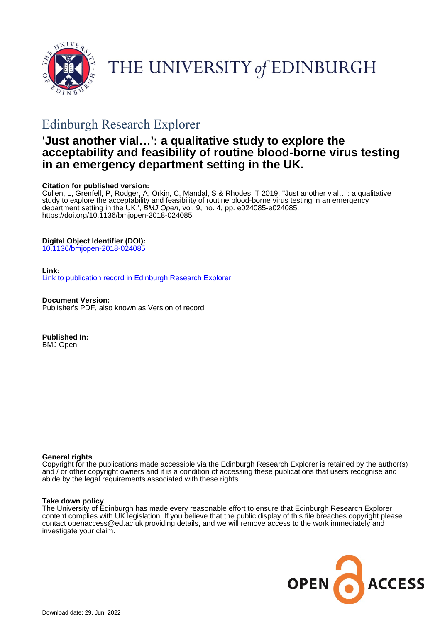



# Edinburgh Research Explorer

## **'Just another vial…': a qualitative study to explore the acceptability and feasibility of routine blood-borne virus testing in an emergency department setting in the UK.**

#### **Citation for published version:**

Cullen, L, Grenfell, P, Rodger, A, Orkin, C, Mandal, S & Rhodes, T 2019, ''Just another vial…': a qualitative study to explore the acceptability and feasibility of routine blood-borne virus testing in an emergency department setting in the UK.', BMJ Open, vol. 9, no. 4, pp. e024085-e024085. <https://doi.org/10.1136/bmjopen-2018-024085>

#### **Digital Object Identifier (DOI):**

[10.1136/bmjopen-2018-024085](https://doi.org/10.1136/bmjopen-2018-024085)

#### **Link:**

[Link to publication record in Edinburgh Research Explorer](https://www.research.ed.ac.uk/en/publications/c33af78d-5ead-472a-8981-df5e4f4b69e5)

**Document Version:** Publisher's PDF, also known as Version of record

**Published In:** BMJ Open

#### **General rights**

Copyright for the publications made accessible via the Edinburgh Research Explorer is retained by the author(s) and / or other copyright owners and it is a condition of accessing these publications that users recognise and abide by the legal requirements associated with these rights.

#### **Take down policy**

The University of Edinburgh has made every reasonable effort to ensure that Edinburgh Research Explorer content complies with UK legislation. If you believe that the public display of this file breaches copyright please contact openaccess@ed.ac.uk providing details, and we will remove access to the work immediately and investigate your claim.

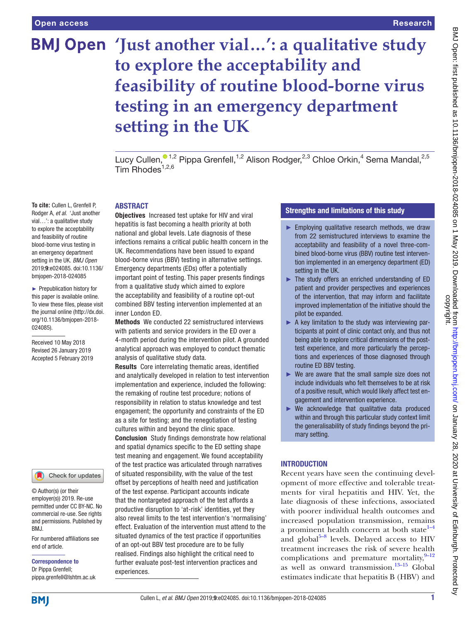# **BMJ Open** 'Just another vial...': a qualitative study **to explore the acceptability and feasibility of routine blood-borne virus testing in an emergency department setting in the UK**

Lucy Cullen,<sup>® 1,2</sup> Pippa Grenfell,<sup>1,2</sup> Alison Rodger,<sup>2,3</sup> Chloe Orkin,<sup>4</sup> Sema Mandal,<sup>2,5</sup>  $TimBhode<sup>1,2,6</sup>$  $TimBhode<sup>1,2,6</sup>$  $TimBhode<sup>1,2,6</sup>$ 

#### **ABSTRACT**

Objectives Increased test uptake for HIV and viral hepatitis is fast becoming a health priority at both national and global levels. Late diagnosis of these infections remains a critical public health concern in the UK. Recommendations have been issued to expand blood-borne virus (BBV) testing in alternative settings. Emergency departments (EDs) offer a potentially important point of testing. This paper presents findings from a qualitative study which aimed to explore the acceptability and feasibility of a routine opt-out combined BBV testing intervention implemented at an inner London ED.

Methods We conducted 22 semistructured interviews with patients and service providers in the ED over a 4-month period during the intervention pilot. A grounded analytical approach was employed to conduct thematic analysis of qualitative study data.

Results Core interrelating thematic areas, identified and analytically developed in relation to test intervention implementation and experience, included the following: the remaking of routine test procedure; notions of responsibility in relation to status knowledge and test engagement; the opportunity and constraints of the ED as a site for testing; and the renegotiation of testing cultures within and beyond the clinic space. Conclusion Study findings demonstrate how relational and spatial dynamics specific to the ED setting shape test meaning and engagement. We found acceptability of the test practice was articulated through narratives of situated responsibility, with the value of the test offset by perceptions of health need and justification of the test expense. Participant accounts indicate that the nontargeted approach of the test affords a productive disruption to 'at-risk' identities, yet they also reveal limits to the test intervention's 'normalising' effect. Evaluation of the intervention must attend to the situated dynamics of the test practice if opportunities of an opt-out BBV test procedure are to be fully realised. Findings also highlight the critical need to further evaluate post-test intervention practices and experiences.

### Strengths and limitations of this study

- ► Employing qualitative research methods, we draw from 22 semistructured interviews to examine the acceptability and feasibility of a novel three-combined blood-borne virus (BBV) routine test intervention implemented in an emergency department (ED) setting in the UK.
- ► The study offers an enriched understanding of ED patient and provider perspectives and experiences of the intervention, that may inform and facilitate improved implementation of the initiative should the pilot be expanded.
- ► A key limitation to the study was interviewing participants at point of clinic contact only, and thus not being able to explore critical dimensions of the posttest experience, and more particularly the perceptions and experiences of those diagnosed through routine ED BBV testing.
- ► We are aware that the small sample size does not include individuals who felt themselves to be at risk of a positive result, which would likely affect test engagement and intervention experience.
- ► We acknowledge that qualitative data produced within and through this particular study context limit the generalisability of study findings beyond the primary setting.

## **INTRODUCTION**

Recent years have seen the continuing development of more effective and tolerable treatments for viral hepatitis and HIV. Yet, the late diagnosis of these infections, associated with poorer individual health outcomes and increased population transmission, remains a prominent health concern at both state $1-4$ and global $5-8$  levels. Delayed access to HIV treatment increases the risk of severe health complications and premature mortality, $9-12$ as well as onward transmission.<sup>13-15</sup> Global estimates indicate that hepatitis B (HBV) and

BMJ Open: first published as 10.1136/bmjopen-2018-024085 on 1 May 2019. Downloaded from http://bmjopen.bmj.com/ on January 28, 2020 at University of Edinburgh. Protected by<br>copyright. BMJ Open: first published as 10.1136/bmjopen-2018-024085 on 1 May 2019. Downloaded from <http://bmjopen.bmj.com/> on January 28, 2020 at University of Edinburgh. Protected by

**To cite:** Cullen L, Grenfell P, Rodger A, *et al*. 'Just another vial…': a qualitative study to explore the acceptability and feasibility of routine blood-borne virus testing in an emergency department setting in the UK. *BMJ Open* 2019;9:e024085. doi:10.1136/ bmjopen-2018-024085

► Prepublication history for this paper is available online. To view these files, please visit the journal online [\(http://dx.doi.](http://dx.doi.org/10.1136/bmjopen-2018-024085) [org/10.1136/bmjopen-2018-](http://dx.doi.org/10.1136/bmjopen-2018-024085) [024085\)](http://dx.doi.org/10.1136/bmjopen-2018-024085).

Received 10 May 2018 Revised 26 January 2019 Accepted 5 February 2019



© Author(s) (or their employer(s)) 2019. Re-use permitted under CC BY-NC. No commercial re-use. See rights and permissions. Published by BMJ.

For numbered affiliations see end of article.

Correspondence to Dr Pippa Grenfell; pippa.grenfell@lshtm.ac.uk

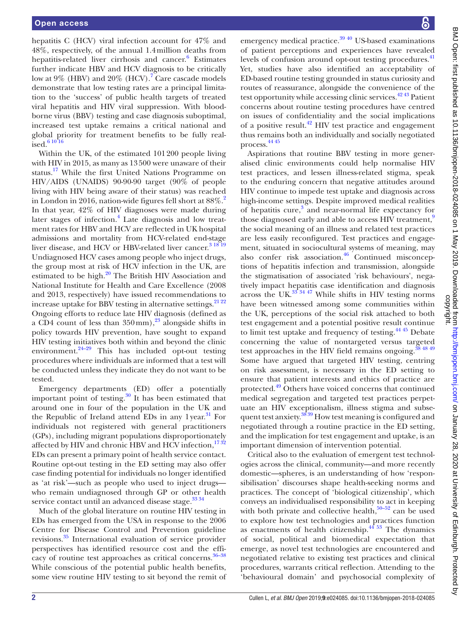hepatitis C (HCV) viral infection account for 47% and 48%, respectively, of the annual 1.4million deaths from hepatitis-related liver cirrhosis and cancer.<sup>[6](#page-9-3)</sup> Estimates further indicate HBV and HCV diagnosis to be critically low at  $9\%$  (HBV) and  $20\%$  (HCV).<sup>[7](#page-9-4)</sup> Care cascade models demonstrate that low testing rates are a principal limitation to the 'success' of public health targets of treated viral hepatitis and HIV viral suppression. With bloodborne virus (BBV) testing and case diagnosis suboptimal, increased test uptake remains a critical national and global priority for treatment benefits to be fully realised.<sup>6 10</sup><sup>16</sup>

Within the UK, of the estimated 101200 people living with HIV in 2015, as many as 13500 were unaware of their status.<sup>17</sup> While the first United Nations Programme on HIV/AIDS (UNAIDS) 90-90-90 target (90% of people living with HIV being aware of their status) was reached in London in [2](#page-9-5)016, nation-wide figures fell short at  $88\%$ <sup>2</sup> In that year, 42% of HIV diagnoses were made during later stages of infection.<sup>[4](#page-9-6)</sup> Late diagnosis and low treatment rates for HBV and HCV are reflected in UK hospital admissions and mortality from HCV-related end-stage liver disease, and HCV or HBV-related liver cancer.<sup>[3 18 19](#page-9-7)</sup> Undiagnosed HCV cases among people who inject drugs, the group most at risk of HCV infection in the UK, are estimated to be high.<sup>[20](#page-10-2)</sup> The British HIV Association and National Institute for Health and Care Excellence (2008 and 2013, respectively) have issued recommendations to increase uptake for BBV testing in alternative settings.<sup>21 22</sup> Ongoing efforts to reduce late HIV diagnosis (defined as a CD4 count of less than  $350 \text{ mm}$ ,<sup>[23](#page-10-4)</sup> alongside shifts in policy towards HIV prevention, have sought to expand HIV testing initiatives both within and beyond the clinic environment. $24-29$  This has included opt-out testing procedures where individuals are informed that a test will be conducted unless they indicate they do not want to be tested.

Emergency departments (ED) offer a potentially important point of testing.<sup>30</sup> It has been estimated that around one in four of the population in the UK and the Republic of Ireland attend EDs in any 1year.<sup>[31](#page-10-7)</sup> For individuals not registered with general practitioners (GPs), including migrant populations disproportionately affected by HIV and chronic HBV and HCV infection,<sup>1732</sup> EDs can present a primary point of health service contact. Routine opt-out testing in the ED setting may also offer case finding potential for individuals no longer identified as 'at risk'—such as people who used to inject drugs who remain undiagnosed through GP or other health service contact until an advanced disease stage.<sup>33</sup> 34

Much of the global literature on routine HIV testing in EDs has emerged from the USA in response to the 2006 Centre for Disease Control and Prevention guideline revisions.[35](#page-10-9) International evaluation of service provider perspectives has identified resource cost and the efficacy of routine test approaches as critical concerns[.36–38](#page-10-10) While conscious of the potential public health benefits, some view routine HIV testing to sit beyond the remit of emergency medical practice.<sup>[39 40](#page-10-11)</sup> US-based examinations of patient perceptions and experiences have revealed levels of confusion around opt-out testing procedures.<sup>[41](#page-10-12)</sup> Yet, studies have also identified an acceptability of ED-based routine testing grounded in status curiosity and routes of reassurance, alongside the convenience of the test opportunity while accessing clinic services.<sup>[42 43](#page-10-13)</sup> Patient concerns about routine testing procedures have centred on issues of confidentiality and the social implications of a positive result.<sup>42</sup> HIV test practice and engagement thus remains both an individually and socially negotiated process. [44 45](#page-10-14)

Aspirations that routine BBV testing in more generalised clinic environments could help normalise HIV test practices, and lessen illness-related stigma, speak to the enduring concern that negative attitudes around HIV continue to impede test uptake and diagnosis across high-income settings. Despite improved medical realities of hepatitis cure,<sup>[3](#page-9-7)</sup> and near-normal life expectancy for those diagnosed early and able to access HIV treatment,<sup>9</sup> the social meaning of an illness and related test practices are less easily reconfigured. Test practices and engagement, situated in sociocultural systems of meaning, may also confer risk association. $46$  Continued misconceptions of hepatitis infection and transmission, alongside the stigmatisation of associated 'risk behaviours', negatively impact hepatitis case identification and diagnosis  $\frac{33}{34}$   $\frac{34}{47}$  While shifts in HIV testing norms have been witnessed among some communities within the UK, perceptions of the social risk attached to both test engagement and a potential positive result continue to limit test uptake and frequency of testing. $^{44\,45}$  Debate concerning the value of nontargeted versus targeted test approaches in the HIV field remains ongoing.<sup>[38 48 49](#page-10-16)</sup> Some have argued that targeted HIV testing, centring on risk assessment, is necessary in the ED setting to ensure that patient interests and ethics of practice are protected.[49](#page-10-17) Others have voiced concerns that continued medical segregation and targeted test practices perpetuate an HIV exceptionalism, illness stigma and subse-quent test anxiety.<sup>[38 39](#page-10-16)</sup> How test meaning is configured and negotiated through a routine practice in the ED setting, and the implication for test engagement and uptake, is an important dimension of intervention potential.

Critical also to the evaluation of emergent test technologies across the clinical, community—and more recently domestic—spheres, is an understanding of how 'responsibilisation' discourses shape health-seeking norms and practices. The concept of 'biological citizenship', which conveys an individualised responsibility to act in keeping with both private and collective health, $50-52$  can be used to explore how test technologies and practices function as enactments of health citizenship[.44 53](#page-10-14) The dynamics of social, political and biomedical expectation that emerge, as novel test technologies are encountered and negotiated relative to existing test practices and clinical procedures, warrants critical reflection. Attending to the 'behavioural domain' and psychosocial complexity of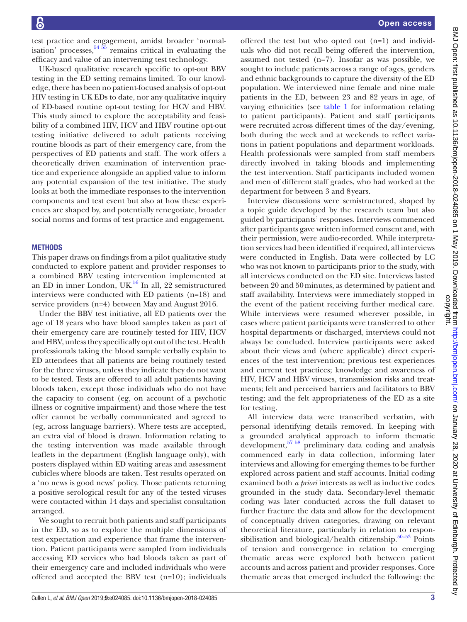test practice and engagement, amidst broader 'normalisation' processes,  $\frac{54,55}{6}$  remains critical in evaluating the efficacy and value of an intervening test technology.

UK-based qualitative research specific to opt-out BBV testing in the ED setting remains limited. To our knowledge, there has been no patient-focused analysis of opt-out HIV testing in UK EDs to date, nor any qualitative inquiry of ED-based routine opt-out testing for HCV and HBV. This study aimed to explore the acceptability and feasibility of a combined HIV, HCV and HBV routine opt-out testing initiative delivered to adult patients receiving routine bloods as part of their emergency care, from the perspectives of ED patients and staff. The work offers a theoretically driven examination of intervention practice and experience alongside an applied value to inform any potential expansion of the test initiative. The study looks at both the immediate responses to the intervention components and test event but also at how these experiences are shaped by, and potentially renegotiate, broader social norms and forms of test practice and engagement.

#### **METHODS**

This paper draws on findings from a pilot qualitative study conducted to explore patient and provider responses to a combined BBV testing intervention implemented at an ED in inner London, UK $^{56}$  In all, 22 semistructured interviews were conducted with ED patients (n=18) and service providers (n=4) between May and August 2016.

Under the BBV test initiative, all ED patients over the age of 18 years who have blood samples taken as part of their emergency care are routinely tested for HIV, HCV and HBV, unless they specifically opt out of the test. Health professionals taking the blood sample verbally explain to ED attendees that all patients are being routinely tested for the three viruses, unless they indicate they do not want to be tested. Tests are offered to all adult patients having bloods taken, except those individuals who do not have the capacity to consent (eg, on account of a psychotic illness or cognitive impairment) and those where the test offer cannot be verbally communicated and agreed to (eg, across language barriers). Where tests are accepted, an extra vial of blood is drawn. Information relating to the testing intervention was made available through leaflets in the department (English language only), with posters displayed within ED waiting areas and assessment cubicles where bloods are taken. Test results operated on a 'no news is good news' policy. Those patients returning a positive serological result for any of the tested viruses were contacted within 14 days and specialist consultation arranged.

We sought to recruit both patients and staff participants in the ED, so as to explore the multiple dimensions of test expectation and experience that frame the intervention. Patient participants were sampled from individuals accessing ED services who had bloods taken as part of their emergency care and included individuals who were offered and accepted the BBV test (n=10); individuals

offered the test but who opted out (n=1) and individuals who did not recall being offered the intervention, assumed not tested (n=7). Insofar as was possible, we sought to include patients across a range of ages, genders and ethnic backgrounds to capture the diversity of the ED population. We interviewed nine female and nine male patients in the ED, between 23 and 82 years in age, of varying ethnicities (see [table](#page-4-0) 1 for information relating to patient participants). Patient and staff participants were recruited across different times of the day/evening, both during the week and at weekends to reflect variations in patient populations and department workloads. Health professionals were sampled from staff members directly involved in taking bloods and implementing the test intervention. Staff participants included women and men of different staff grades, who had worked at the department for between 3 and 8years.

Interview discussions were semistructured, shaped by a topic guide developed by the research team but also guided by participants' responses. Interviews commenced after participants gave written informed consent and, with their permission, were audio-recorded. While interpretation services had been identified if required, all interviews were conducted in English. Data were collected by LC who was not known to participants prior to the study, with all interviews conducted on the ED site. Interviews lasted between 20 and 50minutes, as determined by patient and staff availability. Interviews were immediately stopped in the event of the patient receiving further medical care. While interviews were resumed wherever possible, in cases where patient participants were transferred to other hospital departments or discharged, interviews could not always be concluded. Interview participants were asked about their views and (where applicable) direct experiences of the test intervention; previous test experiences and current test practices; knowledge and awareness of HIV, HCV and HBV viruses, transmission risks and treatments; felt and perceived barriers and facilitators to BBV testing; and the felt appropriateness of the ED as a site for testing.

All interview data were transcribed verbatim, with personal identifying details removed. In keeping with a grounded analytical approach to inform thematic development,<sup>57</sup> <sup>58</sup> preliminary data coding and analysis commenced early in data collection, informing later interviews and allowing for emerging themes to be further explored across patient and staff accounts. Initial coding examined both *a priori* interests as well as inductive codes grounded in the study data. Secondary-level thematic coding was later conducted across the full dataset to further fracture the data and allow for the development of conceptually driven categories, drawing on relevant theoretical literature, particularly in relation to responsibilisation and biological/health citizenship. $50-53$  Points of tension and convergence in relation to emerging thematic areas were explored both between patient accounts and across patient and provider responses. Core thematic areas that emerged included the following: the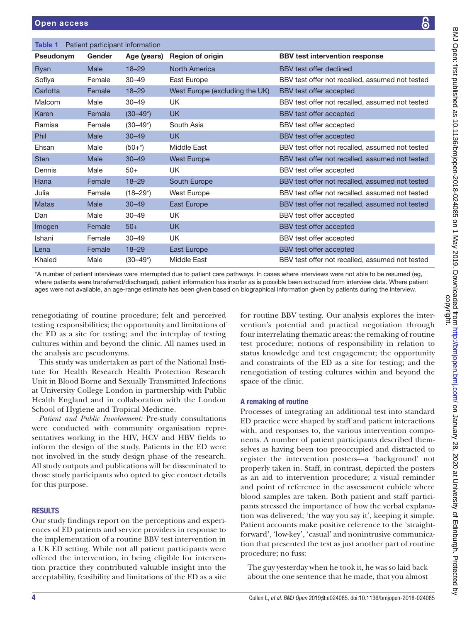<span id="page-4-0"></span>

| Pseudonym    | Gender      | Age (years)   | <b>Region of origin</b>        | <b>BBV</b> test intervention response                                                                                                                                                                                                                                                                                                                                                                                                 |
|--------------|-------------|---------------|--------------------------------|---------------------------------------------------------------------------------------------------------------------------------------------------------------------------------------------------------------------------------------------------------------------------------------------------------------------------------------------------------------------------------------------------------------------------------------|
| Ryan         | Male        | $18 - 29$     | <b>North America</b>           | <b>BBV</b> test offer declined                                                                                                                                                                                                                                                                                                                                                                                                        |
| Sofiya       | Female      | $30 - 49$     | East Europe                    | BBV test offer not recalled, assumed not tested                                                                                                                                                                                                                                                                                                                                                                                       |
| Carlotta     | Female      | $18 - 29$     | West Europe (excluding the UK) | BBV test offer accepted                                                                                                                                                                                                                                                                                                                                                                                                               |
| Malcom       | Male        | $30 - 49$     | UK.                            | BBV test offer not recalled, assumed not tested                                                                                                                                                                                                                                                                                                                                                                                       |
| Karen        | Female      | $(30-49^*)$   | <b>UK</b>                      | BBV test offer accepted                                                                                                                                                                                                                                                                                                                                                                                                               |
| Ramisa       | Female      | $(30-49^*)$   | South Asia                     | BBV test offer accepted                                                                                                                                                                                                                                                                                                                                                                                                               |
| Phil         | <b>Male</b> | $30 - 49$     | <b>UK</b>                      | BBV test offer accepted                                                                                                                                                                                                                                                                                                                                                                                                               |
| Ehsan        | Male        | $(50+*)$      | Middle East                    | BBV test offer not recalled, assumed not tested                                                                                                                                                                                                                                                                                                                                                                                       |
| <b>Sten</b>  | <b>Male</b> | $30 - 49$     | <b>West Europe</b>             | BBV test offer not recalled, assumed not tested                                                                                                                                                                                                                                                                                                                                                                                       |
| Dennis       | Male        | $50+$         | UK.                            | BBV test offer accepted                                                                                                                                                                                                                                                                                                                                                                                                               |
| Hana         | Female      | $18 - 29$     | South Europe                   | BBV test offer not recalled, assumed not tested                                                                                                                                                                                                                                                                                                                                                                                       |
| Julia        | Female      | $(18 - 29^*)$ | West Europe                    | BBV test offer not recalled, assumed not tested                                                                                                                                                                                                                                                                                                                                                                                       |
| <b>Matas</b> | Male        | $30 - 49$     | <b>East Europe</b>             | BBV test offer not recalled, assumed not tested                                                                                                                                                                                                                                                                                                                                                                                       |
| Dan          | Male        | $30 - 49$     | <b>UK</b>                      | BBV test offer accepted                                                                                                                                                                                                                                                                                                                                                                                                               |
| Imogen       | Female      | $50+$         | <b>UK</b>                      | BBV test offer accepted                                                                                                                                                                                                                                                                                                                                                                                                               |
| Ishani       | Female      | $30 - 49$     | <b>UK</b>                      | BBV test offer accepted                                                                                                                                                                                                                                                                                                                                                                                                               |
| Lena         | Female      | $18 - 29$     | <b>East Europe</b>             | BBV test offer accepted                                                                                                                                                                                                                                                                                                                                                                                                               |
| Khaled       | Male        | $(30 - 49^*)$ | Middle East                    | BBV test offer not recalled, assumed not tested                                                                                                                                                                                                                                                                                                                                                                                       |
|              |             |               |                                | *A number of patient interviews were interrupted due to patient care pathways. In cases where interviews were not able to be resumed (eq.<br>where patients were transferred/discharged), patient information has insofar as is possible been extracted from interview data. Where patient<br>ages were not available, an age-range estimate has been given based on biographical information given by patients during the interview. |

renegotiating of routine procedure; felt and perceived testing responsibilities; the opportunity and limitations of the ED as a site for testing; and the interplay of testing cultures within and beyond the clinic. All names used in the analysis are pseudonyms.

This study was undertaken as part of the National Institute for Health Research Health Protection Research Unit in Blood Borne and Sexually Transmitted Infections at University College London in partnership with Public Health England and in collaboration with the London School of Hygiene and Tropical Medicine.

*Patient and Public Involvement:* Pre-study consultations were conducted with community organisation representatives working in the HIV, HCV and HBV fields to inform the design of the study. Patients in the ED were not involved in the study design phase of the research. All study outputs and publications will be disseminated to those study participants who opted to give contact details for this purpose.

#### **RESULTS**

Our study findings report on the perceptions and experiences of ED patients and service providers in response to the implementation of a routine BBV test intervention in a UK ED setting. While not all patient participants were offered the intervention, in being eligible for intervention practice they contributed valuable insight into the acceptability, feasibility and limitations of the ED as a site

for routine BBV testing. Our analysis explores the intervention's potential and practical negotiation through four interrelating thematic areas: the remaking of routine test procedure; notions of responsibility in relation to status knowledge and test engagement; the opportunity and constraints of the ED as a site for testing; and the renegotiation of testing cultures within and beyond the space of the clinic.

#### A remaking of routine

Processes of integrating an additional test into standard ED practice were shaped by staff and patient interactions with, and responses to, the various intervention components. A number of patient participants described themselves as having been too preoccupied and distracted to register the intervention posters—a 'background' not properly taken in. Staff, in contrast, depicted the posters as an aid to intervention procedure; a visual reminder and point of reference in the assessment cubicle where blood samples are taken. Both patient and staff participants stressed the importance of how the verbal explanation was delivered; 'the way you say it', keeping it simple. Patient accounts make positive reference to the 'straightforward', 'low-key', 'casual' and nonintrusive communication that presented the test as just another part of routine procedure; no fuss:

The guy yesterday when he took it, he was so laid back about the one sentence that he made, that you almost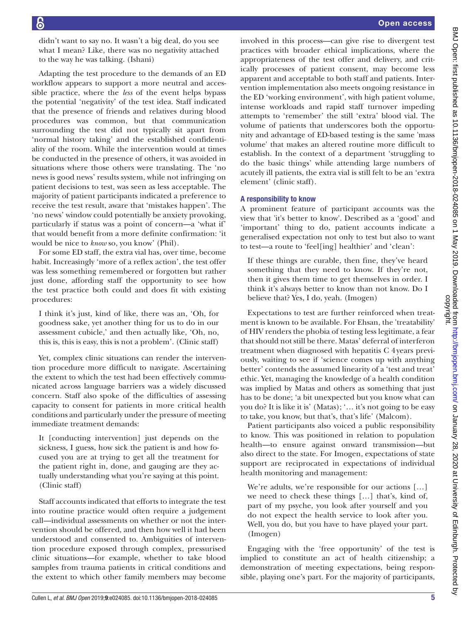didn't want to say no. It wasn't a big deal, do you see what I mean? Like, there was no negativity attached to the way he was talking. (Ishani)

Adapting the test procedure to the demands of an ED workflow appears to support a more neutral and accessible practice, where the *less* of the event helps bypass the potential 'negativity' of the test idea. Staff indicated that the presence of friends and relatives during blood procedures was common, but that communication surrounding the test did not typically sit apart from 'normal history taking' and the established confidentiality of the room. While the intervention would at times be conducted in the presence of others, it was avoided in situations where those others were translating. The 'no news is good news' results system, while not infringing on patient decisions to test, was seen as less acceptable. The majority of patient participants indicated a preference to receive the test result, aware that 'mistakes happen'. The 'no news' window could potentially be anxiety provoking, particularly if status was a point of concern—a 'what if' that would benefit from a more definite confirmation: 'it would be nice to *know* so, you know' (Phil).

For some ED staff, the extra vial has, over time, become habit. Increasingly 'more of a reflex action', the test offer was less something remembered or forgotten but rather just done, affording staff the opportunity to see how the test practice both could and does fit with existing procedures:

I think it's just, kind of like, there was an, 'Oh, for goodness sake, yet another thing for us to do in our assessment cubicle,' and then actually like, 'Oh, no, this is, this is easy, this is not a problem'. (Clinic staff)

Yet, complex clinic situations can render the intervention procedure more difficult to navigate. Ascertaining the extent to which the test had been effectively communicated across language barriers was a widely discussed concern. Staff also spoke of the difficulties of assessing capacity to consent for patients in more critical health conditions and particularly under the pressure of meeting immediate treatment demands:

It [conducting intervention] just depends on the sickness, I guess, how sick the patient is and how focused you are at trying to get all the treatment for the patient right in, done, and gauging are they actually understanding what you're saying at this point. (Clinic staff)

Staff accounts indicated that efforts to integrate the test into routine practice would often require a judgement call—individual assessments on whether or not the intervention should be offered, and then how well it had been understood and consented to. Ambiguities of intervention procedure exposed through complex, pressurised clinic situations—for example, whether to take blood samples from trauma patients in critical conditions and the extent to which other family members may become

involved in this process—can give rise to divergent test practices with broader ethical implications, where the appropriateness of the test offer and delivery, and critically processes of patient consent, may become less apparent and acceptable to both staff and patients. Intervention implementation also meets ongoing resistance in the ED 'working environment', with high patient volume, intense workloads and rapid staff turnover impeding attempts to 'remember' the still 'extra' blood vial. The volume of patients that underscores both the opportunity and advantage of ED-based testing is the same 'mass volume' that makes an altered routine more difficult to establish. In the context of a department 'struggling to do the basic things' while attending large numbers of acutely ill patients, the extra vial is still felt to be an 'extra element' (clinic staff).

#### A responsibility to know

A prominent feature of participant accounts was the view that 'it's better to know'. Described as a 'good' and 'important' thing to do, patient accounts indicate a generalised expectation not only to test but also to want to test—a route to 'feel[ing] healthier' and 'clean':

If these things are curable, then fine, they've heard something that they need to know. If they're not, then it gives them time to get themselves in order. I think it's always better to know than not know. Do I believe that? Yes, I do, yeah. (Imogen)

Expectations to test are further reinforced when treatment is known to be available. For Ehsan, the 'treatability' of HIV renders the phobia of testing less legitimate, a fear that should not still be there. Matas' deferral of interferon treatment when diagnosed with hepatitis C 4years previously, waiting to see if 'science comes up with anything better' contends the assumed linearity of a 'test and treat' ethic. Yet, managing the knowledge of a health condition was implied by Matas and others as something that just has to be done; 'a bit unexpected but you know what can you do? It is like it is' (Matas); '… it's not going to be easy to take, you know, but that's, that's life' (Malcom).

Patient participants also voiced a public responsibility to know. This was positioned in relation to population health—to ensure against onward transmission—but also direct to the state. For Imogen, expectations of state support are reciprocated in expectations of individual health monitoring and management:

We're adults, we're responsible for our actions […] we need to check these things […] that's, kind of, part of my psyche, you look after yourself and you do not expect the health service to look after you. Well, you do, but you have to have played your part. (Imogen)

Engaging with the 'free opportunity' of the test is implied to constitute an act of health citizenship; a demonstration of meeting expectations, being responsible, playing one's part. For the majority of participants,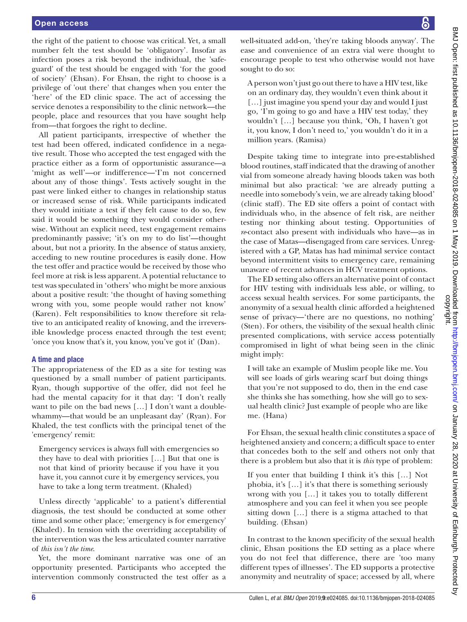the right of the patient to choose was critical. Yet, a small number felt the test should be 'obligatory'. Insofar as infection poses a risk beyond the individual, the 'safeguard' of the test should be engaged with 'for the good of society' (Ehsan). For Ehsan, the right to choose is a privilege of 'out there' that changes when you enter the 'here' of the ED clinic space. The act of accessing the service denotes a responsibility to the clinic network—the people, place and resources that you have sought help from—that forgoes the right to decline.

All patient participants, irrespective of whether the test had been offered, indicated confidence in a negative result. Those who accepted the test engaged with the practice either as a form of opportunistic assurance—a 'might as well'—or indifference—'I'm not concerned about any of those things'. Tests actively sought in the past were linked either to changes in relationship status or increased sense of risk. While participants indicated they would initiate a test if they felt cause to do so, few said it would be something they would consider otherwise. Without an explicit need, test engagement remains predominantly passive; 'it's on my to do list'—thought about, but not a priority. In the absence of status anxiety, acceding to new routine procedures is easily done. How the test offer and practice would be received by those who feel more at risk is less apparent. A potential reluctance to test was speculated in 'others' who might be more anxious about a positive result: 'the thought of having something wrong with you, some people would rather not know' (Karen). Felt responsibilities to know therefore sit relative to an anticipated reality of knowing, and the irreversible knowledge process enacted through the test event; 'once you know that's it, you know, you've got it' (Dan).

#### A time and place

The appropriateness of the ED as a site for testing was questioned by a small number of patient participants. Ryan, though supportive of the offer, did not feel he had the mental capacity for it that day: 'I don't really want to pile on the bad news […] I don't want a doublewhammy—that would be an unpleasant day' (Ryan). For Khaled, the test conflicts with the principal tenet of the 'emergency' remit:

Emergency services is always full with emergencies so they have to deal with priorities […] But that one is not that kind of priority because if you have it you have it, you cannot cure it by emergency services, you have to take a long term treatment. (Khaled)

Unless directly 'applicable' to a patient's differential diagnosis, the test should be conducted at some other time and some other place; 'emergency is for emergency' (Khaled). In tension with the overriding acceptability of the intervention was the less articulated counter narrative of *this isn't the time*.

Yet, the more dominant narrative was one of an opportunity presented. Participants who accepted the intervention commonly constructed the test offer as a

well-situated add-on, 'they're taking bloods anyway'. The ease and convenience of an extra vial were thought to encourage people to test who otherwise would not have sought to do so:

A person won't just go out there to have a HIV test, like on an ordinary day, they wouldn't even think about it [...] just imagine you spend your day and would I just go, 'I'm going to go and have a HIV test today,' they wouldn't […] because you think, 'Oh, I haven't got it, you know, I don't need to,' you wouldn't do it in a million years. (Ramisa)

Despite taking time to integrate into pre-established blood routines, staff indicated that the drawing of another vial from someone already having bloods taken was both minimal but also practical: 'we are already putting a needle into somebody's vein, we are already taking blood' (clinic staff). The ED site offers a point of contact with individuals who, in the absence of felt risk, are neither testing nor thinking about testing. Opportunities of *re*-contact also present with individuals who have—as in the case of Matas—disengaged from care services. Unregistered with a GP, Matas has had minimal service contact beyond intermittent visits to emergency care, remaining unaware of recent advances in HCV treatment options.

The ED setting also offers an alternative point of contact for HIV testing with individuals less able, or willing, to access sexual health services. For some participants, the anonymity of a sexual health clinic afforded a heightened sense of privacy—'there are no questions, no nothing' (Sten). For others, the visibility of the sexual health clinic presented complications, with service access potentially compromised in light of what being seen in the clinic might imply:

I will take an example of Muslim people like me. You will see loads of girls wearing scarf but doing things that you're not supposed to do, then in the end case she thinks she has something, how she will go to sexual health clinic? Just example of people who are like me. (Hana)

For Ehsan, the sexual health clinic constitutes a space of heightened anxiety and concern; a difficult space to enter that concedes both to the self and others not only that there is a problem but also that it is *this* type of problem:

If you enter that building I think it's this […] Not phobia, it's […] it's that there is something seriously wrong with you […] it takes you to totally different atmosphere and you can feel it when you see people sitting down […] there is a stigma attached to that building. (Ehsan)

In contrast to the known specificity of the sexual health clinic, Ehsan positions the ED setting as a place where you do not feel that difference, there are 'too many different types of illnesses'. The ED supports a protective anonymity and neutrality of space; accessed by all, where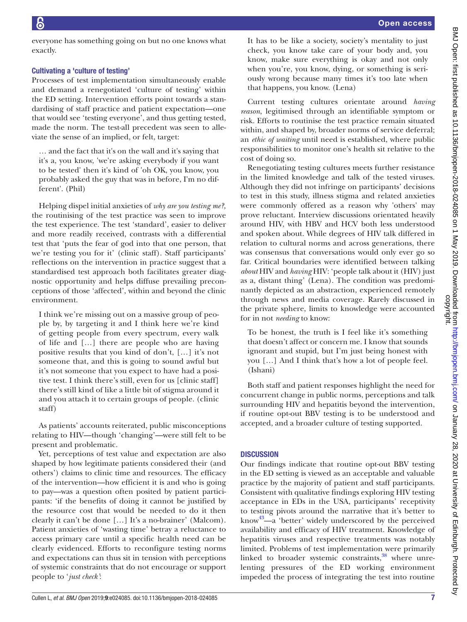everyone has something going on but no one knows what exactly.

#### Cultivating a 'culture of testing'

Processes of test implementation simultaneously enable and demand a renegotiated 'culture of testing' within the ED setting. Intervention efforts point towards a standardising of staff practice and patient expectation—one that would see 'testing everyone', and thus getting tested, made the norm. The test-all precedent was seen to alleviate the sense of an implied, or felt, target:

… and the fact that it's on the wall and it's saying that it's a, you know, 'we're asking everybody if you want to be tested' then it's kind of 'oh OK, you know, you probably asked the guy that was in before, I'm no different'. (Phil)

Helping dispel initial anxieties of *why are you testing me?,* the routinising of the test practice was seen to improve the test experience. The test 'standard', easier to deliver and more readily received, contrasts with a differential test that 'puts the fear of god into that one person, that we're testing you for it' (clinic staff). Staff participants' reflections on the intervention in practice suggest that a standardised test approach both facilitates greater diagnostic opportunity and helps diffuse prevailing preconceptions of those 'affected', within and beyond the clinic environment.

I think we're missing out on a massive group of people by, by targeting it and I think here we're kind of getting people from every spectrum, every walk of life and […] there are people who are having positive results that you kind of don't, […] it's not someone that, and this is going to sound awful but it's not someone that you expect to have had a positive test. I think there's still, even for us [clinic staff] there's still kind of like a little bit of stigma around it and you attach it to certain groups of people. (clinic staff)

As patients' accounts reiterated, public misconceptions relating to HIV—though 'changing'—were still felt to be present and problematic.

Yet, perceptions of test value and expectation are also shaped by how legitimate patients considered their (and others') claims to clinic time and resources. The efficacy of the intervention—how efficient it is and who is going to pay—was a question often posited by patient participants: 'if the benefits of doing it cannot be justified by the resource cost that would be needed to do it then clearly it can't be done […] It's a no-brainer' (Malcom). Patient anxieties of 'wasting time' betray a reluctance to access primary care until a specific health need can be clearly evidenced. Efforts to reconfigure testing norms and expectations can thus sit in tension with perceptions of systemic constraints that do not encourage or support people to '*just check'*:

It has to be like a society, society's mentality to just check, you know take care of your body and, you know, make sure everything is okay and not only when you're, you know, dying, or something is seriously wrong because many times it's too late when that happens, you know. (Lena)

Current testing cultures orientate around *having reason*, legitimised through an identifiable symptom or risk. Efforts to routinise the test practice remain situated within, and shaped by, broader norms of service deferral; an *ethic of waiting* until need is established, where public responsibilities to monitor one's health sit relative to the cost of doing so.

Renegotiating testing cultures meets further resistance in the limited knowledge and talk of the tested viruses. Although they did not infringe on participants' decisions to test in this study, illness stigma and related anxieties were commonly offered as a reason why 'others' may prove reluctant. Interview discussions orientated heavily around HIV, with HBV and HCV both less understood and spoken about. While degrees of HIV talk differed in relation to cultural norms and across generations, there was consensus that conversations would only ever go so far. Critical boundaries were identified between talking *about* HIV and *having* HIV: 'people talk about it (HIV) just as a, distant thing' (Lena). The condition was predominantly depicted as an abstraction, experienced remotely through news and media coverage. Rarely discussed in the private sphere, limits to knowledge were accounted for in not *needing* to know:

To be honest, the truth is I feel like it's something that doesn't affect or concern me. I know that sounds ignorant and stupid, but I'm just being honest with you […] And I think that's how a lot of people feel. (Ishani)

Both staff and patient responses highlight the need for concurrent change in public norms, perceptions and talk surrounding HIV and hepatitis beyond the intervention, if routine opt-out BBV testing is to be understood and accepted, and a broader culture of testing supported.

### **DISCUSSION**

Our findings indicate that routine opt-out BBV testing in the ED setting is viewed as an acceptable and valuable practice by the majority of patient and staff participants. Consistent with qualitative findings exploring HIV testing acceptance in EDs in the USA, participants' receptivity to testing pivots around the narrative that it's better to know<sup>43</sup>—a 'better' widely underscored by the perceived availability and efficacy of HIV treatment. Knowledge of hepatitis viruses and respective treatments was notably limited. Problems of test implementation were primarily linked to broader systemic constraints, $38$  where unrelenting pressures of the ED working environment impeded the process of integrating the test into routine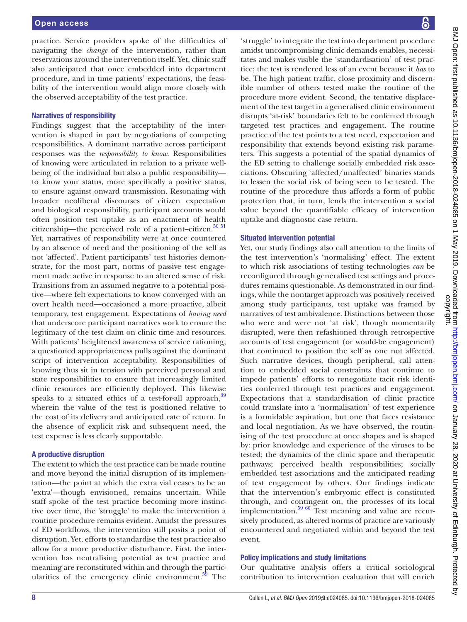practice. Service providers spoke of the difficulties of navigating the *change* of the intervention, rather than reservations around the intervention itself. Yet, clinic staff also anticipated that once embedded into department procedure, and in time patients' expectations, the feasibility of the intervention would align more closely with the observed acceptability of the test practice.

#### Narratives of responsibility

Findings suggest that the acceptability of the intervention is shaped in part by negotiations of competing responsibilities. A dominant narrative across participant responses was the *responsibility to know*. Responsibilities of knowing were articulated in relation to a private wellbeing of the individual but also a public responsibility to know your status, more specifically a positive status, to ensure against onward transmission. Resonating with broader neoliberal discourses of citizen expectation and biological responsibility, participant accounts would often position test uptake as an enactment of health citizenship—the perceived role of a patient–citizen.<sup>[50 51](#page-10-18)</sup> Yet, narratives of responsibility were at once countered by an absence of need and the positioning of the self as not 'affected'. Patient participants' test histories demonstrate, for the most part, norms of passive test engagement made active in response to an altered sense of risk. Transitions from an assumed negative to a potential positive—where felt expectations to know converged with an overt health need—occasioned a more proactive, albeit temporary, test engagement. Expectations of *having need* that underscore participant narratives work to ensure the legitimacy of the test claim on clinic time and resources. With patients' heightened awareness of service rationing, a questioned appropriateness pulls against the dominant script of intervention acceptability. Responsibilities of knowing thus sit in tension with perceived personal and state responsibilities to ensure that increasingly limited clinic resources are efficiently deployed. This likewise speaks to a situated ethics of a test-for-all approach,  $39$ wherein the value of the test is positioned relative to the cost of its delivery and anticipated rate of return. In the absence of explicit risk and subsequent need, the test expense is less clearly supportable.

#### A productive disruption

The extent to which the test practice can be made routine and move beyond the initial disruption of its implementation—the point at which the extra vial ceases to be an 'extra'—though envisioned, remains uncertain. While staff spoke of the test practice becoming more instinctive over time, the 'struggle' to make the intervention a routine procedure remains evident. Amidst the pressures of ED workflows, the intervention still posits a point of disruption. Yet, efforts to standardise the test practice also allow for a more productive disturbance. First, the intervention has neutralising potential as test practice and meaning are reconstituted within and through the particularities of the emergency clinic environment. $59$  The

'struggle' to integrate the test into department procedure amidst uncompromising clinic demands enables, necessitates and makes visible the 'standardisation' of test practice; the test is rendered less of an event because it *has* to be. The high patient traffic, close proximity and discernible number of others tested make the routine of the procedure more evident. Second, the tentative displacement of the test target in a generalised clinic environment disrupts 'at-risk' boundaries felt to be conferred through targeted test practices and engagement. The routine practice of the test points to a test need, expectation and responsibility that extends beyond existing risk parameters. This suggests a potential of the spatial dynamics of the ED setting to challenge socially embedded risk associations. Obscuring 'affected/unaffected' binaries stands to lessen the social risk of being seen to be tested. The routine of the procedure thus affords a form of public protection that, in turn, lends the intervention a social value beyond the quantifiable efficacy of intervention uptake and diagnostic case return.

#### Situated intervention potential

Yet, our study findings also call attention to the limits of the test intervention's 'normalising' effect. The extent to which risk associations of testing technologies *can* be reconfigured through generalised test settings and procedures remains questionable. As demonstrated in our findings, while the nontarget approach was positively received among study participants, test uptake was framed by narratives of test ambivalence. Distinctions between those who were and were not 'at risk', though momentarily disrupted, were then refashioned through retrospective accounts of test engagement (or would-be engagement) that continued to position the self as one not affected. Such narrative devices, though peripheral, call attention to embedded social constraints that continue to impede patients' efforts to renegotiate tacit risk identities conferred through test practices and engagement. Expectations that a standardisation of clinic practice could translate into a 'normalisation' of test experience is a formidable aspiration, but one that faces resistance and local negotiation. As we have observed, the routinising of the test procedure at once shapes and is shaped by: prior knowledge and experience of the viruses to be tested; the dynamics of the clinic space and therapeutic pathways; perceived health responsibilities; socially embedded test associations and the anticipated reading of test engagement by others. Our findings indicate that the intervention's embryonic effect is constituted through, and contingent on, the processes of its local implementation.<sup>[59 60](#page-10-23)</sup> Test meaning and value are recursively produced, as altered norms of practice are variously encountered and negotiated within and beyond the test event.

#### Policy implications and study limitations

Our qualitative analysis offers a critical sociological contribution to intervention evaluation that will enrich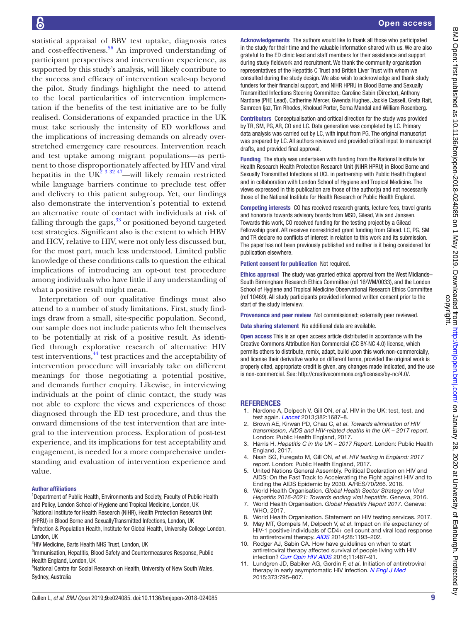statistical appraisal of BBV test uptake, diagnosis rates and cost-effectiveness. $56$  An improved understanding of participant perspectives and intervention experience, as supported by this study's analysis, will likely contribute to the success and efficacy of intervention scale-up beyond the pilot. Study findings highlight the need to attend to the local particularities of intervention implementation if the benefits of the test initiative are to be fully realised. Considerations of expanded practice in the UK must take seriously the intensity of ED workflows and the implications of increasing demands on already overstretched emergency care resources. Intervention reach and test uptake among migrant populations—as pertinent to those disproportionately affected by HIV and viral hepatitis in the UK<sup>[2 3 32 47](#page-9-5)</sup>—will likely remain restricted while language barriers continue to preclude test offer and delivery to this patient subgroup. Yet, our findings also demonstrate the intervention's potential to extend an alternative route of contact with individuals at risk of falling through the gaps, $33$  or positioned beyond targeted test strategies. Significant also is the extent to which HBV and HCV, relative to HIV, were not only less discussed but, for the most part, much less understood. Limited public knowledge of these conditions calls to question the ethical implications of introducing an opt-out test procedure among individuals who have little if any understanding of what a positive result might mean.

Interpretation of our qualitative findings must also attend to a number of study limitations. First, study findings draw from a small, site-specific population. Second, our sample does not include patients who felt themselves to be potentially at risk of a positive result. As identified through explorative research of alternative HIV test interventions,<sup>44</sup> test practices and the acceptability of intervention procedure will invariably take on different meanings for those negotiating a potential positive, and demands further enquiry. Likewise, in interviewing individuals at the point of clinic contact, the study was not able to explore the views and experiences of those diagnosed through the ED test procedure, and thus the onward dimensions of the test intervention that are integral to the intervention process. Exploration of post-test experience, and its implications for test acceptability and engagement, is needed for a more comprehensive understanding and evaluation of intervention experience and value.

#### Author affiliations

<sup>1</sup>Department of Public Health, Environments and Society, Faculty of Public Health and Policy, London School of Hygiene and Tropical Medicine, London, UK <sup>2</sup>National Institute for Health Research (NIHR), Health Protection Research Unit (HPRU) in Blood Borne and SexuallyTransmitted Infections, London, UK <sup>3</sup>Infection & Population Health, Institute for Global Health, University College London, London, UK

4 HIV Medicine, Barts Health NHS Trust, London, UK

<sup>5</sup> Immunisation, Hepatitis, Blood Safety and Countermeasures Response, Public Health England, London, UK

<sup>6</sup>National Centre for Social Research on Health, University of New South Wales, Sydney, Australia

#### Open access

Acknowledgements The authors would like to thank all those who participated in the study for their time and the valuable information shared with us. We are also grateful to the ED clinic lead and staff members for their assistance and support during study fieldwork and recruitment. We thank the community organisation representatives of the Hepatitis C Trust and British Liver Trust with whom we consulted during the study design. We also wish to acknowledge and thank study funders for their financial support, and NIHR HPRU in Blood Borne and Sexually Transmitted Infections Steering Committee: Caroline Sabin (Director), Anthony Nardone (PHE Lead), Catherine Mercer, Gwenda Hughes, Jackie Cassell, Greta Rait, Samreen Ijaz, Tim Rhodes, Kholoud Porter, Sema Mandal and William Rosenberg.

Contributors Conceptualisation and critical direction for the study was provided by TR, SM, PG, AR, CO and LC. Data generation was completed by LC. Primary data analysis was carried out by LC, with input from PG. The original manuscript was prepared by LC. All authors reviewed and provided critical input to manuscript drafts, and provided final approval.

Funding The study was undertaken with funding from the National Institute for Health Research Health Protection Research Unit (NIHR HPRU) in Blood Borne and Sexually Transmitted Infections at UCL in partnership with Public Health England and in collaboration with London School of Hygiene and Tropical Medicine. The views expressed in this publication are those of the author(s) and not necessarily those of the National Institute for Health Research or Public Health England.

Competing interests CO has received research grants, lecture fees, travel grants and honoraria towards advisory boards from MSD, Gilead, Viiv and Janssen. Towards this work, CO received funding for the testing project by a Gilead Fellowship grant. AR receives nonrestricted grant funding from Gilead. LC, PG, SM and TR declare no conflicts of interest in relation to this work and its submission. The paper has not been previously published and neither is it being considered for publication elsewhere.

Patient consent for publication Not required.

Ethics approval The study was granted ethical approval from the West Midlands– South Birmingham Research Ethics Committee (ref 16/WM/0033), and the London School of Hygiene and Tropical Medicine Observational Research Ethics Committee (ref 10469). All study participants provided informed written consent prior to the start of the study interview.

Provenance and peer review Not commissioned; externally peer reviewed.

Data sharing statement No additional data are available.

Open access This is an open access article distributed in accordance with the Creative Commons Attribution Non Commercial (CC BY-NC 4.0) license, which permits others to distribute, remix, adapt, build upon this work non-commercially, and license their derivative works on different terms, provided the original work is properly cited, appropriate credit is given, any changes made indicated, and the use is non-commercial. See: [http://creativecommons.org/licenses/by-nc/4.0/.](http://creativecommons.org/licenses/by-nc/4.0/)

#### **REFERENCES**

- <span id="page-9-0"></span>1. Nardone A, Delpech V, Gill ON, *et al*. HIV in the UK: test, test, and test again. *[Lancet](http://dx.doi.org/10.1016/S0140-6736(13)62377-6)* 2013;382:1687–8.
- <span id="page-9-5"></span>2. Brown AE, Kirwan PD, Chau C, *et al*. *Towards elimination of HIV transmission, AIDS and HIV-related deaths in the UK – 2017 report*. London: Public Health England, 2017.
- <span id="page-9-7"></span>3. Harris H. *Hepatitis C in the UK – 2017 Report*. London: Public Health England, 2017.
- <span id="page-9-6"></span>4. Nash SG, Furegato M, Gill ON, *et al*. *HIV testing in England: 2017 report*. London: Public Health England, 2017.
- <span id="page-9-1"></span>5. United Nations General Assembly. Political Declaration on HIV and AIDS: On the Fast Track to Accelerating the Fight against HIV and to Ending the AIDS Epidemic by 2030. A/RES/70/266. 2016.
- <span id="page-9-3"></span>6. World Health Organisation. *Global Health Sector Strategy on Viral Hepatitis 2016-2021: Towards ending viral hepatitis*. Geneva, 2016.
- <span id="page-9-4"></span>7. World Health Organisation. *Global Hepatitis Report 2017*. Geneva: WHO, 2017.
- 8. World Health Organisation. Statement on HIV testing services. 2017.
- <span id="page-9-2"></span>9. May MT, Gompels M, Delpech V, *et al*. Impact on life expectancy of HIV-1 positive individuals of CD4+ cell count and viral load response to antiretroviral therapy. *[AIDS](http://dx.doi.org/10.1097/QAD.0000000000000243)* 2014;28:1193–202.
- 10. Rodger AJ, Sabin CA. How have guidelines on when to start antiretroviral therapy affected survival of people living with HIV infection? *[Curr Opin HIV AIDS](http://dx.doi.org/10.1097/COH.0000000000000307)* 2016;11:487–91.
- 11. Lundgren JD, Babiker AG, Gordin F, *et al*. Initiation of antiretroviral therapy in early asymptomatic HIV infection. *[N Engl J Med](http://dx.doi.org/10.1056/NEJMoa1506816)* 2015;373:795–807.